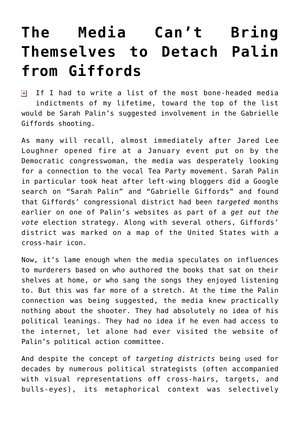## **[The Media Can't Bring](https://bernardgoldberg.com/the-media-cant-bring-themselves-to-detach-palin-from-giffords/) [Themselves to Detach Palin](https://bernardgoldberg.com/the-media-cant-bring-themselves-to-detach-palin-from-giffords/) [from Giffords](https://bernardgoldberg.com/the-media-cant-bring-themselves-to-detach-palin-from-giffords/)**

 $\pmb{\times}$ If I had to write a list of the most bone-headed media indictments of my lifetime, toward the top of the list would be Sarah Palin's suggested involvement in the Gabrielle Giffords shooting.

As many will recall, almost immediately after Jared Lee Loughner opened fire at a January event put on by the Democratic congresswoman, the media was desperately looking for a connection to the vocal Tea Party movement. Sarah Palin in particular took heat after left-wing bloggers did a Google search on "Sarah Palin" and "Gabrielle Giffords" and found that Giffords' congressional district had been *targeted* months earlier on one of Palin's websites as part of a *get out the vote* election strategy. Along with several others, Giffords' district was marked on a map of the United States with a cross-hair icon.

Now, it's lame enough when the media speculates on influences to murderers based on who authored the books that sat on their shelves at home, or who sang the songs they enjoyed listening to. But this was far more of a stretch. At the time the Palin connection was being suggested, the media knew practically nothing about the shooter. They had absolutely no idea of his political leanings. They had no idea if he even had access to the internet, let alone had ever visited the website of Palin's political action committee.

And despite the concept of *targeting districts* being used for decades by numerous political strategists (often accompanied with visual representations off cross-hairs, targets, and bulls-eyes), its metaphorical context was selectively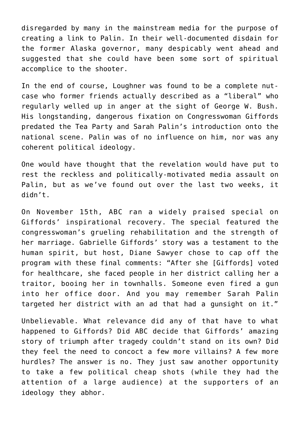disregarded by many in the mainstream media for the purpose of creating a link to Palin. In their well-documented disdain for the former Alaska governor, many despicably went ahead and suggested that she could have been some sort of spiritual accomplice to the shooter.

In the end of course, Loughner was found to be a complete nutcase who former friends actually described as a "liberal" who regularly welled up in anger at the sight of George W. Bush. His longstanding, dangerous fixation on Congresswoman Giffords predated the Tea Party and Sarah Palin's introduction onto the national scene. Palin was of no influence on him, nor was any coherent political ideology.

One would have thought that the revelation would have put to rest the reckless and politically-motivated media assault on Palin, but as we've found out over the last two weeks, it didn't.

On November 15th, ABC ran a widely praised special on Giffords' inspirational recovery. The special featured the congresswoman's grueling rehabilitation and the strength of her marriage. Gabrielle Giffords' story was a testament to the human spirit, but host, Diane Sawyer chose to cap off the program with these final comments: "After she [Giffords] voted for healthcare, she faced people in her district calling her a traitor, booing her in townhalls. Someone even fired a gun into her office door. And you may remember Sarah Palin targeted her district with an ad that had a gunsight on it."

Unbelievable. What relevance did any of that have to what happened to Giffords? Did ABC decide that Giffords' amazing story of triumph after tragedy couldn't stand on its own? Did they feel the need to concoct a few more villains? A few more hurdles? The answer is no. They just saw another opportunity to take a few political cheap shots (while they had the attention of a large audience) at the supporters of an ideology they abhor.